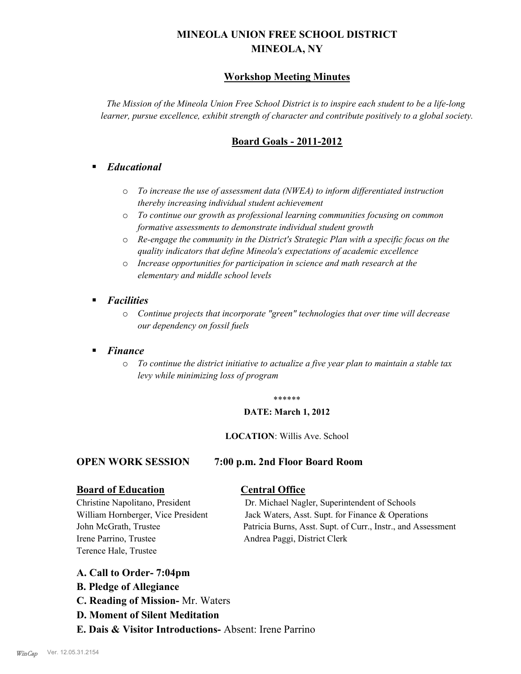# **MINEOLA UNION FREE SCHOOL DISTRICT MINEOLA, NY**

## **Workshop Meeting Minutes**

*The Mission of the Mineola Union Free School District is to inspire each student to be a life-long learner, pursue excellence, exhibit strength of character and contribute positively to a global society.*

## **Board Goals - 2011-2012**

## § *Educational*

- o *To increase the use of assessment data (NWEA) to inform differentiated instruction thereby increasing individual student achievement*
- o *To continue our growth as professional learning communities focusing on common formative assessments to demonstrate individual student growth*
- o *Re-engage the community in the District's Strategic Plan with a specific focus on the quality indicators that define Mineola's expectations of academic excellence*
- o *Increase opportunities for participation in science and math research at the elementary and middle school levels*
- *Facilities* 
	- o *Continue projects that incorporate "green" technologies that over time will decrease our dependency on fossil fuels*

## § *Finance*

o *To continue the district initiative to actualize a five year plan to maintain a stable tax levy while minimizing loss of program*

#### \*\*\*\*\*\*

#### **DATE: March 1, 2012**

#### **LOCATION**: Willis Ave. School

#### **OPEN WORK SESSION 7:00 p.m. 2nd Floor Board Room**

#### **Board of Education Central Office**

Irene Parrino, Trustee Andrea Paggi, District Clerk Terence Hale, Trustee

Christine Napolitano, President Dr. Michael Nagler, Superintendent of Schools William Hornberger, Vice President Jack Waters, Asst. Supt. for Finance & Operations John McGrath, Trustee Patricia Burns, Asst. Supt. of Curr., Instr., and Assessment

## **A. Call to Order- 7:04pm**

- **B. Pledge of Allegiance**
- **C. Reading of Mission-** Mr. Waters
- **D. Moment of Silent Meditation**
- **E. Dais & Visitor Introductions-** Absent: Irene Parrino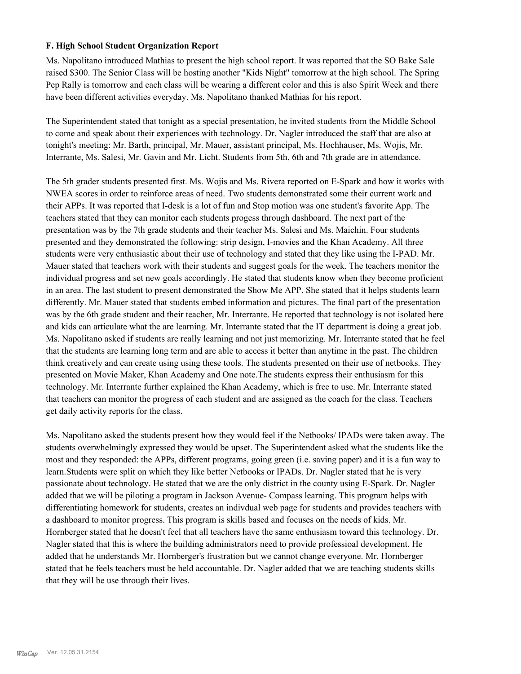#### **F. High School Student Organization Report**

Ms. Napolitano introduced Mathias to present the high school report. It was reported that the SO Bake Sale raised \$300. The Senior Class will be hosting another "Kids Night" tomorrow at the high school. The Spring Pep Rally is tomorrow and each class will be wearing a different color and this is also Spirit Week and there have been different activities everyday. Ms. Napolitano thanked Mathias for his report.

The Superintendent stated that tonight as a special presentation, he invited students from the Middle School to come and speak about their experiences with technology. Dr. Nagler introduced the staff that are also at tonight's meeting: Mr. Barth, principal, Mr. Mauer, assistant principal, Ms. Hochhauser, Ms. Wojis, Mr. Interrante, Ms. Salesi, Mr. Gavin and Mr. Licht. Students from 5th, 6th and 7th grade are in attendance.

The 5th grader students presented first. Ms. Wojis and Ms. Rivera reported on E-Spark and how it works with NWEA scores in order to reinforce areas of need. Two students demonstrated some their current work and their APPs. It was reported that I-desk is a lot of fun and Stop motion was one student's favorite App. The teachers stated that they can monitor each students progess through dashboard. The next part of the presentation was by the 7th grade students and their teacher Ms. Salesi and Ms. Maichin. Four students presented and they demonstrated the following: strip design, I-movies and the Khan Academy. All three students were very enthusiastic about their use of technology and stated that they like using the I-PAD. Mr. Mauer stated that teachers work with their students and suggest goals for the week. The teachers monitor the individual progress and set new goals accordingly. He stated that students know when they become proficient in an area. The last student to present demonstrated the Show Me APP. She stated that it helps students learn differently. Mr. Mauer stated that students embed information and pictures. The final part of the presentation was by the 6th grade student and their teacher, Mr. Interrante. He reported that technology is not isolated here and kids can articulate what the are learning. Mr. Interrante stated that the IT department is doing a great job. Ms. Napolitano asked if students are really learning and not just memorizing. Mr. Interrante stated that he feel that the students are learning long term and are able to access it better than anytime in the past. The children think creatively and can create using using these tools. The students presented on their use of netbooks. They presented on Movie Maker, Khan Academy and One note.The students express their enthusiasm for this technology. Mr. Interrante further explained the Khan Academy, which is free to use. Mr. Interrante stated that teachers can monitor the progress of each student and are assigned as the coach for the class. Teachers get daily activity reports for the class.

Ms. Napolitano asked the students present how they would feel if the Netbooks/ IPADs were taken away. The students overwhelmingly expressed they would be upset. The Superintendent asked what the students like the most and they responded: the APPs, different programs, going green (i.e. saving paper) and it is a fun way to learn.Students were split on which they like better Netbooks or IPADs. Dr. Nagler stated that he is very passionate about technology. He stated that we are the only district in the county using E-Spark. Dr. Nagler added that we will be piloting a program in Jackson Avenue- Compass learning. This program helps with differentiating homework for students, creates an indivdual web page for students and provides teachers with a dashboard to monitor progress. This program is skills based and focuses on the needs of kids. Mr. Hornberger stated that he doesn't feel that all teachers have the same enthusiasm toward this technology. Dr. Nagler stated that this is where the building administrators need to provide professioal development. He added that he understands Mr. Hornberger's frustration but we cannot change everyone. Mr. Hornberger stated that he feels teachers must be held accountable. Dr. Nagler added that we are teaching students skills that they will be use through their lives.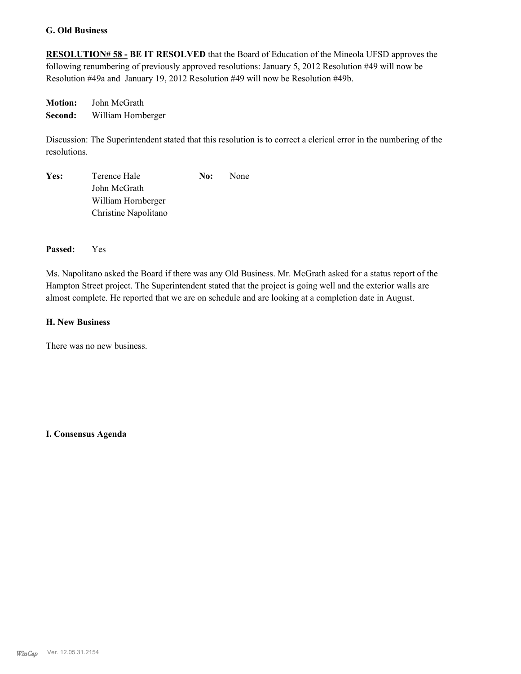#### **G. Old Business**

**RESOLUTION# 58 - BE IT RESOLVED** that the Board of Education of the Mineola UFSD approves the following renumbering of previously approved resolutions: January 5, 2012 Resolution #49 will now be Resolution #49a and January 19, 2012 Resolution #49 will now be Resolution #49b.

**Motion:** John McGrath **Second:** William Hornberger

Discussion: The Superintendent stated that this resolution is to correct a clerical error in the numbering of the resolutions.

| Yes: | Terence Hale         | No: | <b>None</b> |
|------|----------------------|-----|-------------|
|      | John McGrath         |     |             |
|      | William Hornberger   |     |             |
|      | Christine Napolitano |     |             |

#### **Passed:** Yes

Ms. Napolitano asked the Board if there was any Old Business. Mr. McGrath asked for a status report of the Hampton Street project. The Superintendent stated that the project is going well and the exterior walls are almost complete. He reported that we are on schedule and are looking at a completion date in August.

#### **H. New Business**

There was no new business.

**I. Consensus Agenda**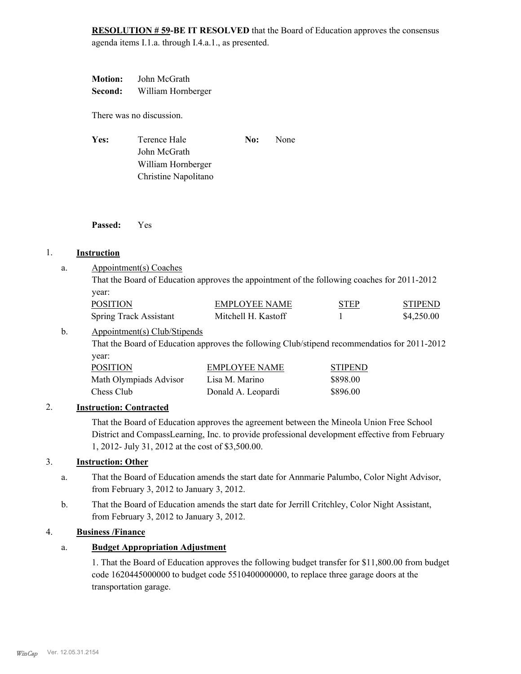**RESOLUTION # 59-BE IT RESOLVED** that the Board of Education approves the consensus agenda items I.1.a. through I.4.a.1., as presented.

**Motion:** John McGrath **Second:** William Hornberger

There was no discussion.

| Yes: | Terence Hale         | No: | <b>None</b> |
|------|----------------------|-----|-------------|
|      | John McGrath         |     |             |
|      | William Hornberger   |     |             |
|      | Christine Napolitano |     |             |

**Passed:** Yes

## 1. **Instruction**

Appointment(s) Coaches a.

|                 | That the Board of Education approves the appointment of the following coaches for 2011-2012 |             |                |
|-----------------|---------------------------------------------------------------------------------------------|-------------|----------------|
| vear:           |                                                                                             |             |                |
| <b>POSITION</b> | EMPLOYEE NAME                                                                               | <b>STEP</b> | <b>STIPEND</b> |

| POSITION                      | EMPLOYEE NAME       | <b>STEP</b> | <b>STIPEND</b> |
|-------------------------------|---------------------|-------------|----------------|
| <b>Spring Track Assistant</b> | Mitchell H. Kastoff |             | \$4,250.00     |

#### Appointment(s) Club/Stipends b.

That the Board of Education approves the following Club/stipend recommendatios for 2011-2012 year:

| <b>POSITION</b>        | <b>EMPLOYEE NAME</b> | <b>STIPEND</b> |
|------------------------|----------------------|----------------|
| Math Olympiads Advisor | Lisa M. Marino       | \$898.00       |
| Chess Club             | Donald A. Leopardi   | \$896.00       |

## 2. **Instruction: Contracted**

That the Board of Education approves the agreement between the Mineola Union Free School District and CompassLearning, Inc. to provide professional development effective from February 1, 2012- July 31, 2012 at the cost of \$3,500.00.

## 3. **Instruction: Other**

- That the Board of Education amends the start date for Annmarie Palumbo, Color Night Advisor, from February 3, 2012 to January 3, 2012. a.
- That the Board of Education amends the start date for Jerrill Critchley, Color Night Assistant, from February 3, 2012 to January 3, 2012. b.

#### 4. **Business /Finance**

## a. **Budget Appropriation Adjustment**

1. That the Board of Education approves the following budget transfer for \$11,800.00 from budget code 1620445000000 to budget code 5510400000000, to replace three garage doors at the transportation garage.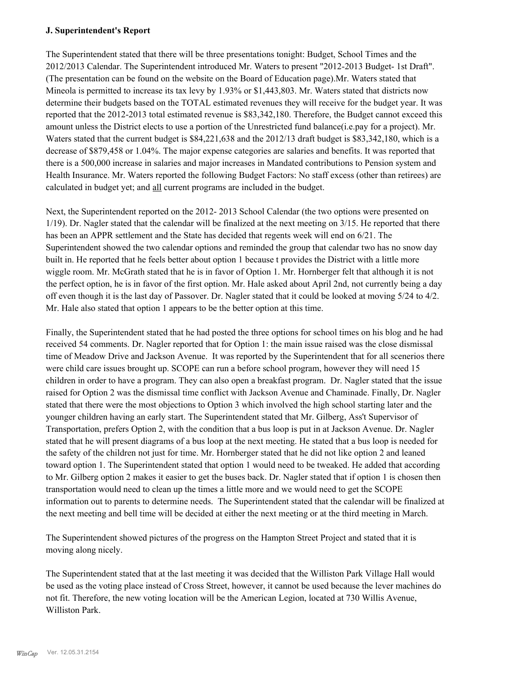#### **J. Superintendent's Report**

The Superintendent stated that there will be three presentations tonight: Budget, School Times and the 2012/2013 Calendar. The Superintendent introduced Mr. Waters to present "2012-2013 Budget- 1st Draft". (The presentation can be found on the website on the Board of Education page).Mr. Waters stated that Mineola is permitted to increase its tax levy by 1.93% or \$1,443,803. Mr. Waters stated that districts now determine their budgets based on the TOTAL estimated revenues they will receive for the budget year. It was reported that the 2012-2013 total estimated revenue is \$83,342,180. Therefore, the Budget cannot exceed this amount unless the District elects to use a portion of the Unrestricted fund balance(i.e.pay for a project). Mr. Waters stated that the current budget is \$84,221,638 and the 2012/13 draft budget is \$83,342,180, which is a decrease of \$879,458 or 1.04%. The major expense categories are salaries and benefits. It was reported that there is a 500,000 increase in salaries and major increases in Mandated contributions to Pension system and Health Insurance. Mr. Waters reported the following Budget Factors: No staff excess (other than retirees) are calculated in budget yet; and all current programs are included in the budget.

Next, the Superintendent reported on the 2012- 2013 School Calendar (the two options were presented on 1/19). Dr. Nagler stated that the calendar will be finalized at the next meeting on 3/15. He reported that there has been an APPR settlement and the State has decided that regents week will end on 6/21. The Superintendent showed the two calendar options and reminded the group that calendar two has no snow day built in. He reported that he feels better about option 1 because t provides the District with a little more wiggle room. Mr. McGrath stated that he is in favor of Option 1. Mr. Hornberger felt that although it is not the perfect option, he is in favor of the first option. Mr. Hale asked about April 2nd, not currently being a day off even though it is the last day of Passover. Dr. Nagler stated that it could be looked at moving 5/24 to 4/2. Mr. Hale also stated that option 1 appears to be the better option at this time.

Finally, the Superintendent stated that he had posted the three options for school times on his blog and he had received 54 comments. Dr. Nagler reported that for Option 1: the main issue raised was the close dismissal time of Meadow Drive and Jackson Avenue. It was reported by the Superintendent that for all scenerios there were child care issues brought up. SCOPE can run a before school program, however they will need 15 children in order to have a program. They can also open a breakfast program. Dr. Nagler stated that the issue raised for Option 2 was the dismissal time conflict with Jackson Avenue and Chaminade. Finally, Dr. Nagler stated that there were the most objections to Option 3 which involved the high school starting later and the younger children having an early start. The Superintendent stated that Mr. Gilberg, Ass't Supervisor of Transportation, prefers Option 2, with the condition that a bus loop is put in at Jackson Avenue. Dr. Nagler stated that he will present diagrams of a bus loop at the next meeting. He stated that a bus loop is needed for the safety of the children not just for time. Mr. Hornberger stated that he did not like option 2 and leaned toward option 1. The Superintendent stated that option 1 would need to be tweaked. He added that according to Mr. Gilberg option 2 makes it easier to get the buses back. Dr. Nagler stated that if option 1 is chosen then transportation would need to clean up the times a little more and we would need to get the SCOPE information out to parents to determine needs. The Superintendent stated that the calendar will be finalized at the next meeting and bell time will be decided at either the next meeting or at the third meeting in March.

The Superintendent showed pictures of the progress on the Hampton Street Project and stated that it is moving along nicely.

The Superintendent stated that at the last meeting it was decided that the Williston Park Village Hall would be used as the voting place instead of Cross Street, however, it cannot be used because the lever machines do not fit. Therefore, the new voting location will be the American Legion, located at 730 Willis Avenue, Williston Park.